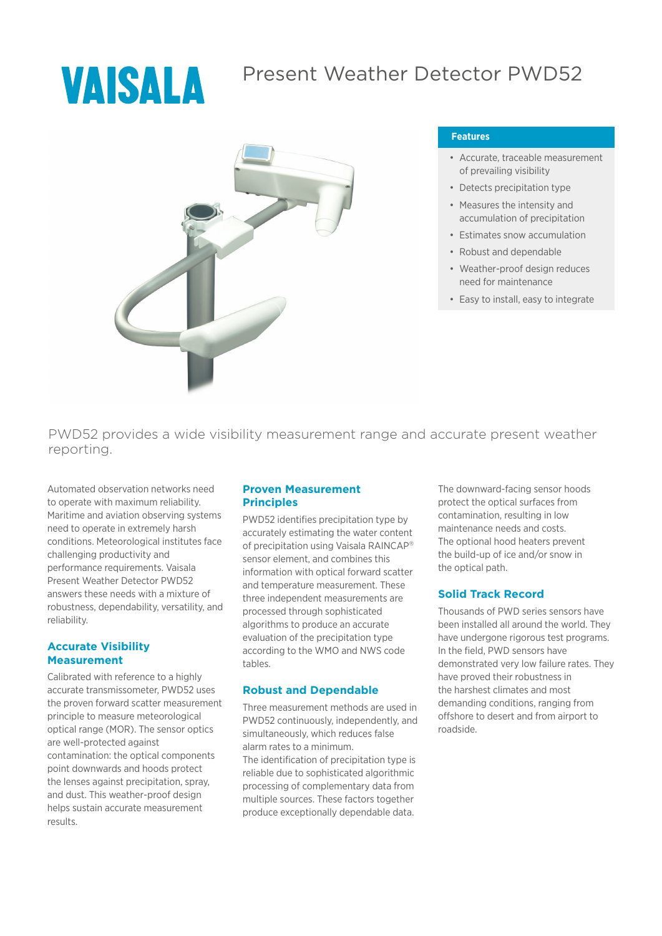# VAISALA

# Present Weather Detector PWD52



#### **Features**

- Accurate, traceable measurement of prevailing visibility
- Detects precipitation type
- Measures the intensity and accumulation of precipitation
- Estimates snow accumulation
- Robust and dependable
- Weather-proof design reduces need for maintenance
- Easy to install, easy to integrate

PWD52 provides a wide visibility measurement range and accurate present weather reporting.

Automated observation networks need to operate with maximum reliability. Maritime and aviation observing systems need to operate in extremely harsh conditions. Meteorological institutes face challenging productivity and performance requirements. Vaisala Present Weather Detector PWD52 answers these needs with a mixture of robustness, dependability, versatility, and reliability.

#### **Accurate Visibility Measurement**

Calibrated with reference to a highly accurate transmissometer, PWD52 uses the proven forward scatter measurement principle to measure meteorological optical range (MOR). The sensor optics are well-protected against contamination: the optical components point downwards and hoods protect the lenses against precipitation, spray, and dust. This weather-proof design helps sustain accurate measurement results.

#### **Proven Measurement Principles**

PWD52 identifies precipitation type by accurately estimating the water content of precipitation using Vaisala RAINCAP® sensor element, and combines this information with optical forward scatter and temperature measurement. These three independent measurements are processed through sophisticated algorithms to produce an accurate evaluation of the precipitation type according to the WMO and NWS code tables.

#### **Robust and Dependable**

Three measurement methods are used in PWD52 continuously, independently, and simultaneously, which reduces false alarm rates to a minimum.

The identification of precipitation type is reliable due to sophisticated algorithmic processing of complementary data from multiple sources. These factors together produce exceptionally dependable data.

The downward-facing sensor hoods protect the optical surfaces from contamination, resulting in low maintenance needs and costs. The optional hood heaters prevent the build-up of ice and/or snow in the optical path.

#### **Solid Track Record**

Thousands of PWD series sensors have been installed all around the world. They have undergone rigorous test programs. In the field, PWD sensors have demonstrated very low failure rates. They have proved their robustness in the harshest climates and most demanding conditions, ranging from offshore to desert and from airport to roadside.